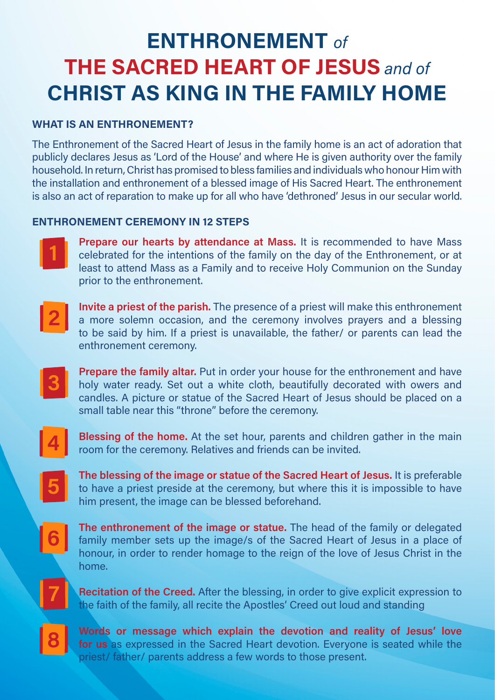## **ENTHRONEMENT** *of*  **THE SACRED HEART OF JESUS** *and of* **CHRIST AS KING IN THE FAMILY HOME**

## **WHAT IS AN ENTHRONEMENT?**

The Enthronement of the Sacred Heart of Jesus in the family home is an act of adoration that publicly declares Jesus as 'Lord of the House' and where He is given authority over the family household. In return, Christ has promised to bless families and individuals who honour Him with the installation and enthronement of a blessed image of His Sacred Heart. The enthronement is also an act of reparation to make up for all who have 'dethroned' Jesus in our secular world.

## **ENTHRONEMENT CEREMONY IN 12 STEPS**



**Prepare our hearts by attendance at Mass.** It is recommended to have Mass celebrated for the intentions of the family on the day of the Enthronement, or at least to attend Mass as a Family and to receive Holy Communion on the Sunday prior to the enthronement.



**Invite a priest of the parish.** The presence of a priest will make this enthronement a more solemn occasion, and the ceremony involves prayers and a blessing to be said by him. If a priest is unavailable, the father/ or parents can lead the enthronement ceremony.



**Prepare the family altar.** Put in order your house for the enthronement and have holy water ready. Set out a white cloth, beautifully decorated with owers and candles. A picture or statue of the Sacred Heart of Jesus should be placed on a small table near this "throne" before the ceremony.



**Blessing of the home.** At the set hour, parents and children gather in the main room for the ceremony. Relatives and friends can be invited.



**The blessing of the image or statue of the Sacred Heart of Jesus.** It is preferable to have a priest preside at the ceremony, but where this it is impossible to have him present, the image can be blessed beforehand.



**The enthronement of the image or statue.** The head of the family or delegated family member sets up the image/s of the Sacred Heart of Jesus in a place of honour, in order to render homage to the reign of the love of Jesus Christ in the home.

**Recitation of the Creed.** After the blessing, in order to give explicit expression to the faith of the family, all recite the Apostles' Creed out loud and standing



**7**

**Words or message which explain the devotion and reality of Jesus' love for us** as expressed in the Sacred Heart devotion. Everyone is seated while the priest/ father/ parents address a few words to those present.